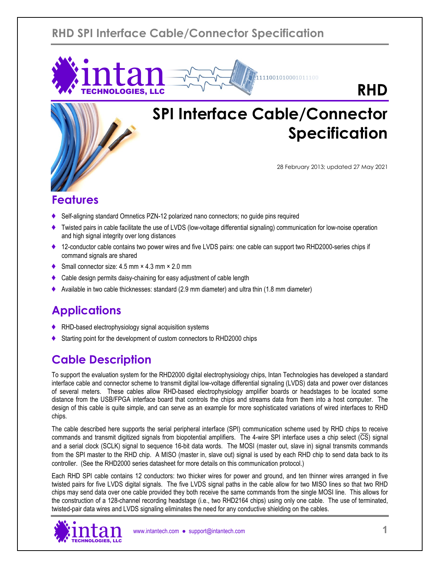# **RHD SPI Interface Cable/Connector Specification**



# **SPI Interface Cable/Connector Specification**

111001010001011100

28 February 2013; updated 27 May 2021

# **Features**

- ♦ Self-aligning standard Omnetics PZN-12 polarized nano connectors; no guide pins required
- Twisted pairs in cable facilitate the use of LVDS (low-voltage differential signaling) communication for low-noise operation and high signal integrity over long distances
- ♦ 12-conductor cable contains two power wires and five LVDS pairs: one cable can support two RHD2000-series chips if command signals are shared
- Small connector size:  $4.5$  mm  $\times$   $4.3$  mm  $\times$   $2.0$  mm

intan

TECHNOLOGIES, LLC

- Cable design permits daisy-chaining for easy adjustment of cable length
- ♦ Available in two cable thicknesses: standard (2.9 mm diameter) and ultra thin (1.8 mm diameter)

# **Applications**

- RHD-based electrophysiology signal acquisition systems
- Starting point for the development of custom connectors to RHD2000 chips

# **Cable Description**

To support the evaluation system for the RHD2000 digital electrophysiology chips, Intan Technologies has developed a standard interface cable and connector scheme to transmit digital low-voltage differential signaling (LVDS) data and power over distances of several meters. These cables allow RHD-based electrophysiology amplifier boards or headstages to be located some distance from the USB/FPGA interface board that controls the chips and streams data from them into a host computer. The design of this cable is quite simple, and can serve as an example for more sophisticated variations of wired interfaces to RHD chips.

The cable described here supports the serial peripheral interface (SPI) communication scheme used by RHD chips to receive commands and transmit digitized signals from biopotential amplifiers. The 4-wire SPI interface uses a chip select (CS) signal and a serial clock (SCLK) signal to sequence 16-bit data words. The MOSI (master out, slave in) signal transmits commands from the SPI master to the RHD chip. A MISO (master in, slave out) signal is used by each RHD chip to send data back to its controller. (See the RHD2000 series datasheet for more details on this communication protocol.)

Each RHD SPI cable contains 12 conductors: two thicker wires for power and ground, and ten thinner wires arranged in five twisted pairs for five LVDS digital signals. The five LVDS signal paths in the cable allow for two MISO lines so that two RHD chips may send data over one cable provided they both receive the same commands from the single MOSI line. This allows for the construction of a 128-channel recording headstage (i.e., two RHD2164 chips) using only one cable. The use of terminated, twisted-pair data wires and LVDS signaling eliminates the need for any conductive shielding on the cables.

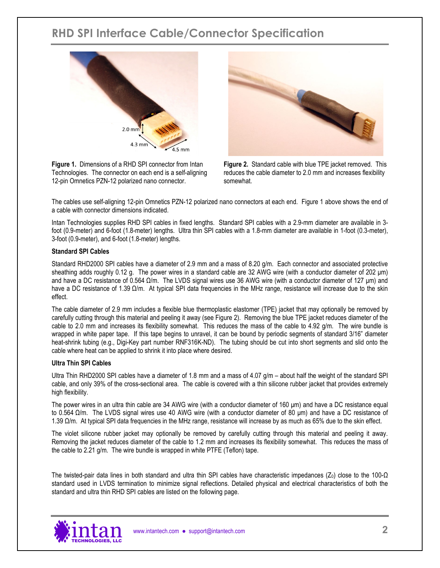# **RHD SPI Interface Cable/Connector Specification**



**Figure 1.** Dimensions of a RHD SPI connector from Intan Technologies. The connector on each end is a self-aligning 12-pin Omnetics PZN-12 polarized nano connector.



**Figure 2.** Standard cable with blue TPE jacket removed. This reduces the cable diameter to 2.0 mm and increases flexibility somewhat.

The cables use self-aligning 12-pin Omnetics PZN-12 polarized nano connectors at each end. Figure 1 above shows the end of a cable with connector dimensions indicated.

Intan Technologies supplies RHD SPI cables in fixed lengths. Standard SPI cables with a 2.9-mm diameter are available in 3 foot (0.9-meter) and 6-foot (1.8-meter) lengths. Ultra thin SPI cables with a 1.8-mm diameter are available in 1-foot (0.3-meter), 3-foot (0.9-meter), and 6-foot (1.8-meter) lengths.

#### **Standard SPI Cables**

Standard RHD2000 SPI cables have a diameter of 2.9 mm and a mass of 8.20 g/m. Each connector and associated protective sheathing adds roughly 0.12 g. The power wires in a standard cable are 32 AWG wire (with a conductor diameter of 202 μm) and have a DC resistance of 0.564 Ω/m. The LVDS signal wires use 36 AWG wire (with a conductor diameter of 127 μm) and have a DC resistance of 1.39 Ω/m. At typical SPI data frequencies in the MHz range, resistance will increase due to the skin effect.

The cable diameter of 2.9 mm includes a flexible blue thermoplastic elastomer (TPE) jacket that may optionally be removed by carefully cutting through this material and peeling it away (see Figure 2). Removing the blue TPE jacket reduces diameter of the cable to 2.0 mm and increases its flexibility somewhat. This reduces the mass of the cable to 4.92 g/m. The wire bundle is wrapped in white paper tape. If this tape begins to unravel, it can be bound by periodic segments of standard 3/16" diameter heat-shrink tubing (e.g., Digi-Key part number RNF316K-ND). The tubing should be cut into short segments and slid onto the cable where heat can be applied to shrink it into place where desired.

#### **Ultra Thin SPI Cables**

Ultra Thin RHD2000 SPI cables have a diameter of 1.8 mm and a mass of 4.07  $g/m -$  about half the weight of the standard SPI cable, and only 39% of the cross-sectional area. The cable is covered with a thin silicone rubber jacket that provides extremely high flexibility.

The power wires in an ultra thin cable are 34 AWG wire (with a conductor diameter of 160 μm) and have a DC resistance equal to 0.564 Ω/m. The LVDS signal wires use 40 AWG wire (with a conductor diameter of 80 μm) and have a DC resistance of 1.39 Ω/m. At typical SPI data frequencies in the MHz range, resistance will increase by as much as 65% due to the skin effect.

The violet silicone rubber jacket may optionally be removed by carefully cutting through this material and peeling it away. Removing the jacket reduces diameter of the cable to 1.2 mm and increases its flexibility somewhat. This reduces the mass of the cable to 2.21 g/m. The wire bundle is wrapped in white PTFE (Teflon) tape.

The twisted-pair data lines in both standard and ultra thin SPI cables have characteristic impedances ( $Z_0$ ) close to the 100- $\Omega$ standard used in LVDS termination to minimize signal reflections. Detailed physical and electrical characteristics of both the standard and ultra thin RHD SPI cables are listed on the following page.

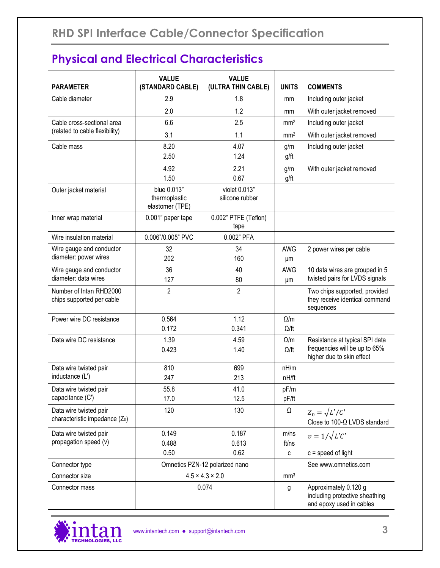# **Physical and Electrical Characteristics**

| <b>PARAMETER</b>                                                     | <b>VALUE</b><br>(STANDARD CABLE)                | <b>VALUE</b><br>(ULTRA THIN CABLE) | <b>UNITS</b>               | <b>COMMENTS</b>                                                                              |
|----------------------------------------------------------------------|-------------------------------------------------|------------------------------------|----------------------------|----------------------------------------------------------------------------------------------|
| Cable diameter                                                       | 2.9                                             | 1.8                                | mm                         | Including outer jacket                                                                       |
|                                                                      | 2.0                                             | 1.2                                | mm                         | With outer jacket removed                                                                    |
| Cable cross-sectional area                                           | 6.6                                             | 2.5                                | mm <sup>2</sup>            | Including outer jacket                                                                       |
| (related to cable flexibility)                                       | 3.1                                             | 1.1                                | mm <sup>2</sup>            | With outer jacket removed                                                                    |
| Cable mass                                                           | 8.20<br>2.50                                    | 4.07<br>1.24                       | g/m<br>g/ft                | Including outer jacket                                                                       |
|                                                                      | 4.92<br>1.50                                    | 2.21<br>0.67                       | g/m<br>g/ft                | With outer jacket removed                                                                    |
| Outer jacket material                                                | blue 0.013"<br>thermoplastic<br>elastomer (TPE) | violet 0.013"<br>silicone rubber   |                            |                                                                                              |
| Inner wrap material                                                  | 0.001" paper tape                               | 0.002" PTFE (Teflon)<br>tape       |                            |                                                                                              |
| Wire insulation material                                             | 0.006"/0.005" PVC                               | 0.002" PFA                         |                            |                                                                                              |
| Wire gauge and conductor<br>diameter: power wires                    | 32<br>202                                       | 34<br>160                          | <b>AWG</b><br>μm           | 2 power wires per cable                                                                      |
| Wire gauge and conductor<br>diameter: data wires                     | 36<br>127                                       | 40<br>80                           | <b>AWG</b><br>μm           | 10 data wires are grouped in 5<br>twisted pairs for LVDS signals                             |
| Number of Intan RHD2000<br>chips supported per cable                 | $\overline{2}$                                  | $\overline{2}$                     |                            | Two chips supported, provided<br>they receive identical command<br>sequences                 |
| Power wire DC resistance                                             | 0.564<br>0.172                                  | 1.12<br>0.341                      | $\Omega/m$<br>$\Omega$ /ft |                                                                                              |
| Data wire DC resistance                                              | 1.39<br>0.423                                   | 4.59<br>1.40                       | $\Omega/m$<br>$\Omega$ /ft | Resistance at typical SPI data<br>frequencies will be up to 65%<br>higher due to skin effect |
| Data wire twisted pair<br>inductance (L')                            | 810<br>247                                      | 699<br>213                         | nH/m<br>nH/ft              |                                                                                              |
| Data wire twisted pair<br>capacitance (C')                           | 55.8<br>17.0                                    | 41.0<br>12.5                       | pF/m<br>pF/ft              |                                                                                              |
| Data wire twisted pair<br>characteristic impedance (Z <sub>0</sub> ) | 120                                             | 130                                | Ω                          | $Z_0 = \sqrt{L'/C'}$<br>Close to 100-Ω LVDS standard                                         |
| Data wire twisted pair<br>propagation speed (v)                      | 0.149<br>0.488<br>0.50                          | 0.187<br>0.613<br>0.62             | m/ns<br>ft/ns              | $v = 1/\sqrt{L'C'}$<br>$c = speed of light$                                                  |
| Connector type                                                       | Omnetics PZN-12 polarized nano                  |                                    | C                          | See www.omnetics.com                                                                         |
| Connector size                                                       | $4.5 \times 4.3 \times 2.0$                     |                                    | mm <sup>3</sup>            |                                                                                              |
| Connector mass                                                       | 0.074                                           |                                    | g                          | Approximately 0.120 g<br>including protective sheathing<br>and epoxy used in cables          |

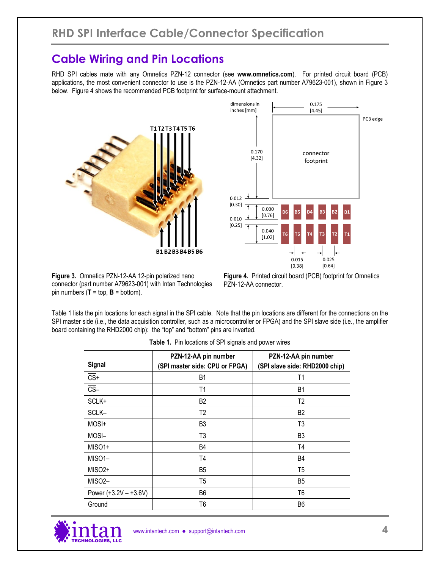### **Cable Wiring and Pin Locations**

RHD SPI cables mate with any Omnetics PZN-12 connector (see **www.omnetics.com**). For printed circuit board (PCB) applications, the most convenient connector to use is the PZN-12-AA (Omnetics part number A79623-001), shown in Figure 3 below. Figure 4 shows the recommended PCB footprint for surface-mount attachment.





**Figure 3.** Omnetics PZN-12-AA 12-pin polarized nano connector (part number A79623-001) with Intan Technologies pin numbers  $(T = top, B = bottom)$ .

**Figure 4.** Printed circuit board (PCB) footprint for Omnetics PZN-12-AA connector.

Table 1 lists the pin locations for each signal in the SPI cable. Note that the pin locations are different for the connections on the SPI master side (i.e., the data acquisition controller, such as a microcontroller or FPGA) and the SPI slave side (i.e., the amplifier board containing the RHD2000 chip): the "top" and "bottom" pins are inverted.

| Signal                   | PZN-12-AA pin number<br>(SPI master side: CPU or FPGA) | PZN-12-AA pin number<br>(SPI slave side: RHD2000 chip) |  |  |
|--------------------------|--------------------------------------------------------|--------------------------------------------------------|--|--|
| $\overline{\text{CS}}$ + | Β1                                                     | T1                                                     |  |  |
| $\overline{\text{CS}}$   | T1                                                     | B1                                                     |  |  |
| SCLK+                    | B2                                                     | T2                                                     |  |  |
| SCLK-                    | T <sub>2</sub>                                         | B <sub>2</sub>                                         |  |  |
| MOSI+                    | B3                                                     | T3                                                     |  |  |
| MOSI-                    | T <sub>3</sub>                                         | B <sub>3</sub>                                         |  |  |
| MISO1+                   | B4                                                     | T4                                                     |  |  |
| MISO1-                   | T4                                                     | B4                                                     |  |  |
| MISO <sub>2+</sub>       | B5                                                     | T5                                                     |  |  |
| MISO <sub>2</sub> -      | T <sub>5</sub>                                         | B <sub>5</sub>                                         |  |  |
| Power $(+3.2V - +3.6V)$  | B6                                                     | T6                                                     |  |  |
| Ground                   | T6                                                     | B6                                                     |  |  |

**Table 1.** Pin locations of SPI signals and power wires

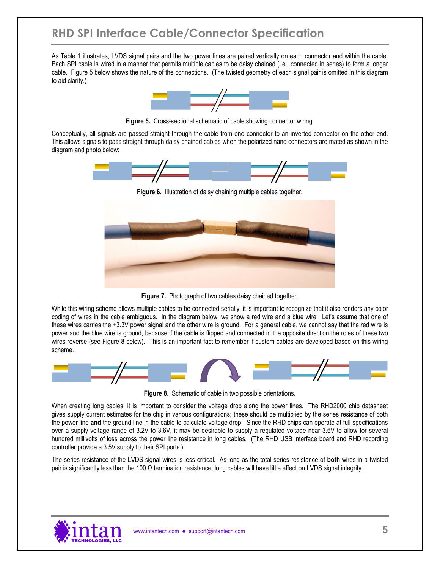# **RHD SPI Interface Cable/Connector Specification**

As Table 1 illustrates, LVDS signal pairs and the two power lines are paired vertically on each connector and within the cable. Each SPI cable is wired in a manner that permits multiple cables to be daisy chained (i.e., connected in series) to form a longer cable. Figure 5 below shows the nature of the connections. (The twisted geometry of each signal pair is omitted in this diagram to aid clarity.)



**Figure 5.** Cross-sectional schematic of cable showing connector wiring.

Conceptually, all signals are passed straight through the cable from one connector to an inverted connector on the other end. This allows signals to pass straight through daisy-chained cables when the polarized nano connectors are mated as shown in the diagram and photo below:





**Figure 7.** Photograph of two cables daisy chained together.

While this wiring scheme allows multiple cables to be connected serially, it is important to recognize that it also renders any color coding of wires in the cable ambiguous. In the diagram below, we show a red wire and a blue wire. Let's assume that one of these wires carries the +3.3V power signal and the other wire is ground. For a general cable, we cannot say that the red wire is power and the blue wire is ground, because if the cable is flipped and connected in the opposite direction the roles of these two wires reverse (see Figure 8 below). This is an important fact to remember if custom cables are developed based on this wiring scheme.



**Figure 8.** Schematic of cable in two possible orientations.

When creating long cables, it is important to consider the voltage drop along the power lines. The RHD2000 chip datasheet gives supply current estimates for the chip in various configurations; these should be multiplied by the series resistance of both the power line **and** the ground line in the cable to calculate voltage drop. Since the RHD chips can operate at full specifications over a supply voltage range of 3.2V to 3.6V, it may be desirable to supply a regulated voltage near 3.6V to allow for several hundred millivolts of loss across the power line resistance in long cables. (The RHD USB interface board and RHD recording controller provide a 3.5V supply to their SPI ports.)

The series resistance of the LVDS signal wires is less critical. As long as the total series resistance of **both** wires in a twisted pair is significantly less than the 100  $\Omega$  termination resistance, long cables will have little effect on LVDS signal integrity.